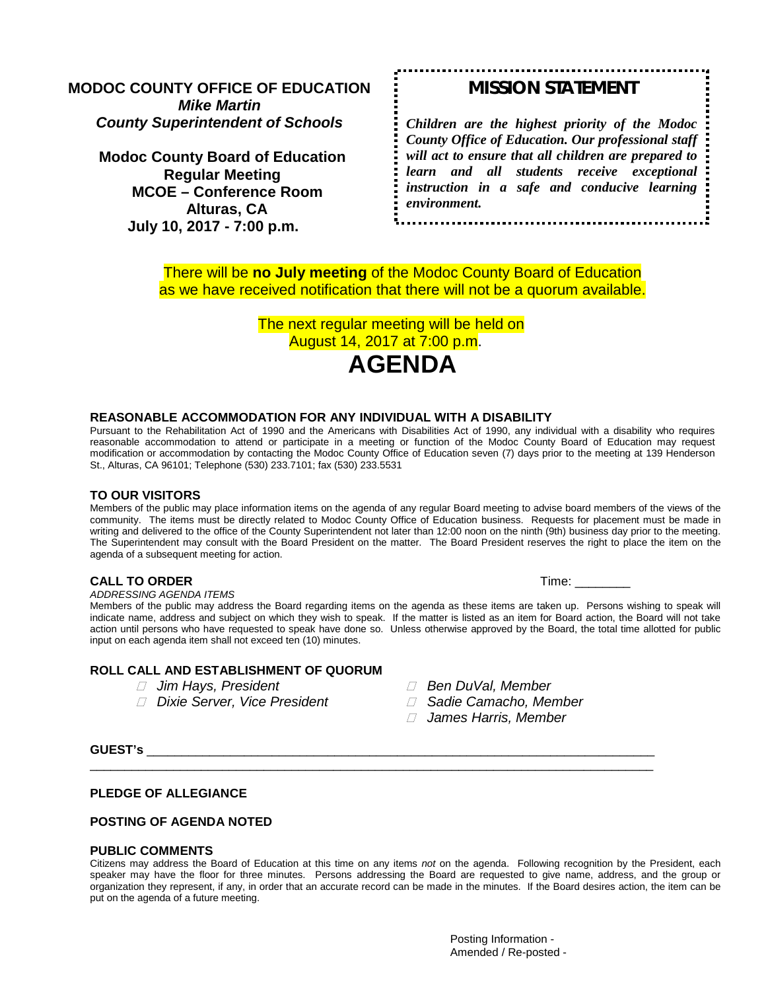**MODOC COUNTY OFFICE OF EDUCATION** *Mike Martin County Superintendent of Schools*

**Modoc County Board of Education Regular Meeting MCOE – Conference Room Alturas, CA July 10, 2017 - 7:00 p.m.**

# *MISSION STATEMENT*

*Children are the highest priority of the Modoc County Office of Education. Our professional staff will act to ensure that all children are prepared to learn and all students receive exceptional instruction in a safe and conducive learning environment.*

There will be **no July meeting** of the Modoc County Board of Education as we have received notification that there will not be a quorum available.

> The next regular meeting will be held on August 14, 2017 at 7:00 p.m.



#### **REASONABLE ACCOMMODATION FOR ANY INDIVIDUAL WITH A DISABILITY**

Pursuant to the Rehabilitation Act of 1990 and the Americans with Disabilities Act of 1990, any individual with a disability who requires reasonable accommodation to attend or participate in a meeting or function of the Modoc County Board of Education may request modification or accommodation by contacting the Modoc County Office of Education seven (7) days prior to the meeting at 139 Henderson St., Alturas, CA 96101; Telephone (530) 233.7101; fax (530) 233.5531

#### **TO OUR VISITORS**

Members of the public may place information items on the agenda of any regular Board meeting to advise board members of the views of the community. The items must be directly related to Modoc County Office of Education business. Requests for placement must be made in writing and delivered to the office of the County Superintendent not later than 12:00 noon on the ninth (9th) business day prior to the meeting. The Superintendent may consult with the Board President on the matter. The Board President reserves the right to place the item on the agenda of a subsequent meeting for action.

#### **CALL TO ORDER** Time:

*ADDRESSING AGENDA ITEMS*

Members of the public may address the Board regarding items on the agenda as these items are taken up. Persons wishing to speak will indicate name, address and subject on which they wish to speak. If the matter is listed as an item for Board action, the Board will not take action until persons who have requested to speak have done so. Unless otherwise approved by the Board, the total time allotted for public input on each agenda item shall not exceed ten (10) minutes.

#### **ROLL CALL AND ESTABLISHMENT OF QUORUM**

- *Jim Hays, President Ben DuVal, Member*
- *Dixie Server, Vice President Sadie Camacho, Member*
- 
- - *James Harris, Member*

**GUEST's** \_\_\_\_\_\_\_\_\_\_\_\_\_\_\_\_\_\_\_\_\_\_\_\_\_\_\_\_\_\_\_\_\_\_\_\_\_\_\_\_\_\_\_\_\_\_\_\_\_\_\_\_\_\_\_\_\_\_\_\_\_\_\_\_\_\_\_\_\_\_\_\_\_

#### **PLEDGE OF ALLEGIANCE**

#### **POSTING OF AGENDA NOTED**

### **PUBLIC COMMENTS**

Citizens may address the Board of Education at this time on any items *not* on the agenda. Following recognition by the President, each speaker may have the floor for three minutes. Persons addressing the Board are requested to give name, address, and the group or organization they represent, if any, in order that an accurate record can be made in the minutes. If the Board desires action, the item can be put on the agenda of a future meeting.

\_\_\_\_\_\_\_\_\_\_\_\_\_\_\_\_\_\_\_\_\_\_\_\_\_\_\_\_\_\_\_\_\_\_\_\_\_\_\_\_\_\_\_\_\_\_\_\_\_\_\_\_\_\_\_\_\_\_\_\_\_\_\_\_\_\_\_\_\_\_\_\_\_\_\_\_\_\_\_\_\_

Posting Information - Amended / Re-posted -